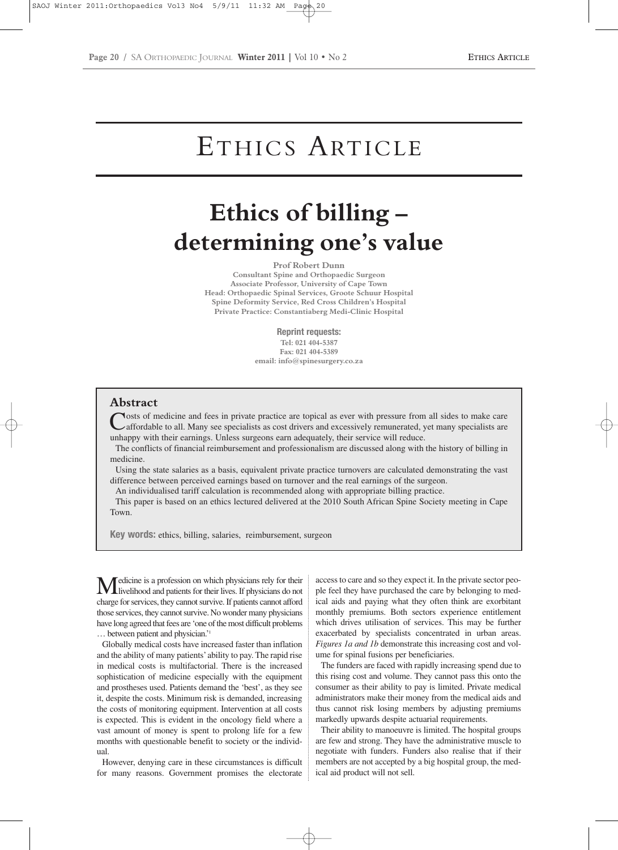# ETHICS ARTICLE

# **Ethics of billing – determining one's value**

#### **Prof Robert Dunn**

**Consultant Spine and Orthopaedic Surgeon Associate Professor, University of Cape Town Head: Orthopaedic Spinal Services, Groote Schuur Hospital Spine Deformity Service, Red Cross Children's Hospital Private Practice: Constantiaberg Medi-Clinic Hospital**

**Reprint requests:**

**Tel: 021 404-5387 Fax: 021 404-5389 email: info@spinesurgery.co.za**

### **Abstract**

**Nosts of medicine and fees in private practice are topical as ever with pressure from all sides to make care** affordable to all. Many see specialists as cost drivers and excessively remunerated, yet many specialists are unhappy with their earnings. Unless surgeons earn adequately, their service will reduce.

The conflicts of financial reimbursement and professionalism are discussed along with the history of billing in medicine.

Using the state salaries as a basis, equivalent private practice turnovers are calculated demonstrating the vast difference between perceived earnings based on turnover and the real earnings of the surgeon.

An individualised tariff calculation is recommended along with appropriate billing practice.

This paper is based on an ethics lectured delivered at the 2010 South African Spine Society meeting in Cape Town.

**Key words:** ethics, billing, salaries, reimbursement, surgeon

Medicine is a profession on which physicians rely for their<br>livelihood and patients for their lives. If physicians do not charge for services, they cannot survive. If patients cannot afford those services, they cannot survive. No wonder many physicians have long agreed that fees are 'one of the most difficult problems … between patient and physician.'1

Globally medical costs have increased faster than inflation and the ability of many patients'ability to pay. The rapid rise in medical costs is multifactorial. There is the increased sophistication of medicine especially with the equipment and prostheses used. Patients demand the 'best', as they see it, despite the costs. Minimum risk is demanded, increasing the costs of monitoring equipment. Intervention at all costs is expected. This is evident in the oncology field where a vast amount of money is spent to prolong life for a few months with questionable benefit to society or the individual.

However, denying care in these circumstances is difficult for many reasons. Government promises the electorate

access to care and so they expect it. In the private sector people feel they have purchased the care by belonging to medical aids and paying what they often think are exorbitant monthly premiums. Both sectors experience entitlement which drives utilisation of services. This may be further exacerbated by specialists concentrated in urban areas. *Figures 1a and 1b* demonstrate this increasing cost and volume for spinal fusions per beneficiaries.

The funders are faced with rapidly increasing spend due to this rising cost and volume. They cannot pass this onto the consumer as their ability to pay is limited. Private medical administrators make their money from the medical aids and thus cannot risk losing members by adjusting premiums markedly upwards despite actuarial requirements.

Their ability to manoeuvre is limited. The hospital groups are few and strong. They have the administrative muscle to negotiate with funders. Funders also realise that if their members are not accepted by a big hospital group, the medical aid product will not sell.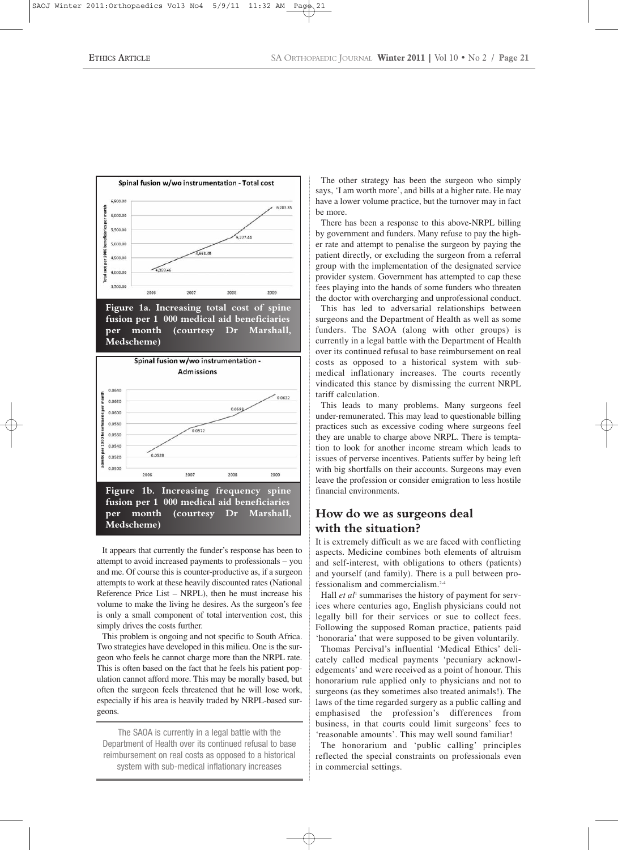

**Figure 1b. Increasing frequency spine fusion per 1 000 medical aid beneficiaries per month (courtesy Dr Marshall, Medscheme)**

It appears that currently the funder's response has been to attempt to avoid increased payments to professionals – you and me. Of course this is counter-productive as, if a surgeon attempts to work at these heavily discounted rates (National Reference Price List – NRPL), then he must increase his volume to make the living he desires. As the surgeon's fee is only a small component of total intervention cost, this simply drives the costs further.

This problem is ongoing and not specific to South Africa. Two strategies have developed in this milieu. One is the surgeon who feels he cannot charge more than the NRPL rate. This is often based on the fact that he feels his patient population cannot afford more. This may be morally based, but often the surgeon feels threatened that he will lose work, especially if his area is heavily traded by NRPL-based surgeons.

The SAOA is currently in a legal battle with the Department of Health over its continued refusal to base reimbursement on real costs as opposed to a historical system with sub-medical inflationary increases

The other strategy has been the surgeon who simply says, 'I am worth more', and bills at a higher rate. He may have a lower volume practice, but the turnover may in fact be more.

There has been a response to this above-NRPL billing by government and funders. Many refuse to pay the higher rate and attempt to penalise the surgeon by paying the patient directly, or excluding the surgeon from a referral group with the implementation of the designated service provider system. Government has attempted to cap these fees playing into the hands of some funders who threaten the doctor with overcharging and unprofessional conduct.

This has led to adversarial relationships between surgeons and the Department of Health as well as some funders. The SAOA (along with other groups) is currently in a legal battle with the Department of Health over its continued refusal to base reimbursement on real costs as opposed to a historical system with submedical inflationary increases. The courts recently vindicated this stance by dismissing the current NRPL tariff calculation.

This leads to many problems. Many surgeons feel under-remunerated. This may lead to questionable billing practices such as excessive coding where surgeons feel they are unable to charge above NRPL. There is temptation to look for another income stream which leads to issues of perverse incentives. Patients suffer by being left with big shortfalls on their accounts. Surgeons may even leave the profession or consider emigration to less hostile financial environments.

## **How do we as surgeons deal with the situation?**

It is extremely difficult as we are faced with conflicting aspects. Medicine combines both elements of altruism and self-interest, with obligations to others (patients) and yourself (and family). There is a pull between professionalism and commercialism.2-4

Hall *et al*<sup>1</sup> summarises the history of payment for services where centuries ago, English physicians could not legally bill for their services or sue to collect fees. Following the supposed Roman practice, patients paid 'honoraria' that were supposed to be given voluntarily.

Thomas Percival's influential 'Medical Ethics' delicately called medical payments 'pecuniary acknowledgements' and were received as a point of honour. This honorarium rule applied only to physicians and not to surgeons (as they sometimes also treated animals!). The laws of the time regarded surgery as a public calling and emphasised the profession's differences from business, in that courts could limit surgeons' fees to 'reasonable amounts'. This may well sound familiar!

The honorarium and 'public calling' principles reflected the special constraints on professionals even in commercial settings.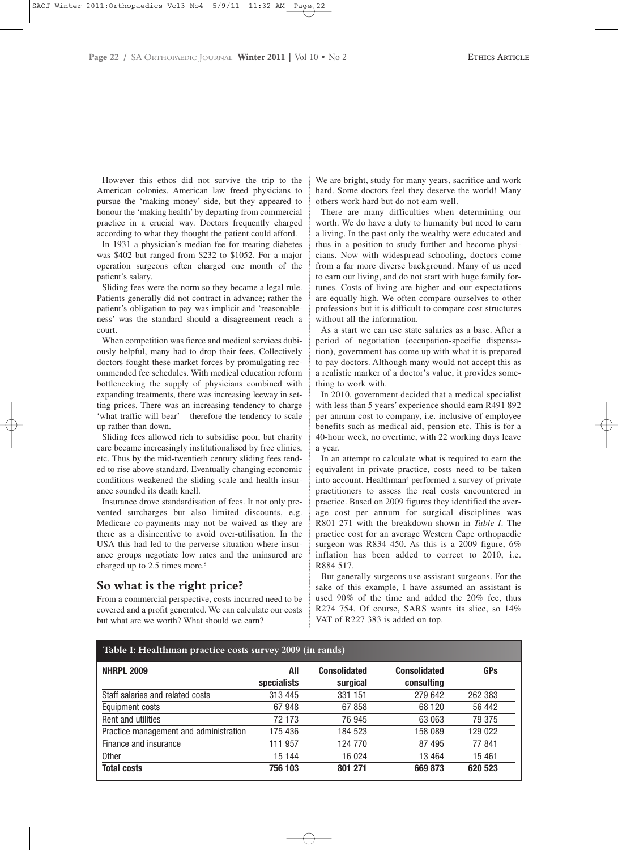However this ethos did not survive the trip to the American colonies. American law freed physicians to pursue the 'making money' side, but they appeared to honour the 'making health' by departing from commercial practice in a crucial way. Doctors frequently charged according to what they thought the patient could afford.

In 1931 a physician's median fee for treating diabetes was \$402 but ranged from \$232 to \$1052. For a major operation surgeons often charged one month of the patient's salary.

Sliding fees were the norm so they became a legal rule. Patients generally did not contract in advance; rather the patient's obligation to pay was implicit and 'reasonableness' was the standard should a disagreement reach a court.

When competition was fierce and medical services dubiously helpful, many had to drop their fees. Collectively doctors fought these market forces by promulgating recommended fee schedules. With medical education reform bottlenecking the supply of physicians combined with expanding treatments, there was increasing leeway in setting prices. There was an increasing tendency to charge 'what traffic will bear' – therefore the tendency to scale up rather than down.

Sliding fees allowed rich to subsidise poor, but charity care became increasingly institutionalised by free clinics, etc. Thus by the mid-twentieth century sliding fees tended to rise above standard. Eventually changing economic conditions weakened the sliding scale and health insurance sounded its death knell.

Insurance drove standardisation of fees. It not only prevented surcharges but also limited discounts, e.g. Medicare co-payments may not be waived as they are there as a disincentive to avoid over-utilisation. In the USA this had led to the perverse situation where insurance groups negotiate low rates and the uninsured are charged up to 2.5 times more.<sup>5</sup>

### **So what is the right price?**

From a commercial perspective, costs incurred need to be covered and a profit generated. We can calculate our costs but what are we worth? What should we earn?

We are bright, study for many years, sacrifice and work hard. Some doctors feel they deserve the world! Many others work hard but do not earn well.

There are many difficulties when determining our worth. We do have a duty to humanity but need to earn a living. In the past only the wealthy were educated and thus in a position to study further and become physicians. Now with widespread schooling, doctors come from a far more diverse background. Many of us need to earn our living, and do not start with huge family fortunes. Costs of living are higher and our expectations are equally high. We often compare ourselves to other professions but it is difficult to compare cost structures without all the information.

As a start we can use state salaries as a base. After a period of negotiation (occupation-specific dispensation), government has come up with what it is prepared to pay doctors. Although many would not accept this as a realistic marker of a doctor's value, it provides something to work with.

In 2010, government decided that a medical specialist with less than 5 years' experience should earn R491 892 per annum cost to company, i.e. inclusive of employee benefits such as medical aid, pension etc. This is for a 40-hour week, no overtime, with 22 working days leave a year.

In an attempt to calculate what is required to earn the equivalent in private practice, costs need to be taken into account. Healthman<sup>6</sup> performed a survey of private practitioners to assess the real costs encountered in practice. Based on 2009 figures they identified the average cost per annum for surgical disciplines was R801 271 with the breakdown shown in *Table I*. The practice cost for an average Western Cape orthopaedic surgeon was R834 450. As this is a 2009 figure, 6% inflation has been added to correct to 2010, i.e. R884 517.

But generally surgeons use assistant surgeons. For the sake of this example, I have assumed an assistant is used 90% of the time and added the 20% fee, thus R274 754. Of course, SARS wants its slice, so 14% VAT of R227 383 is added on top.

| Table I: Healthman practice costs survey 2009 (in rands) |                    |                                 |                                   |            |
|----------------------------------------------------------|--------------------|---------------------------------|-----------------------------------|------------|
| <b>NHRPL 2009</b>                                        | All<br>specialists | <b>Consolidated</b><br>surgical | <b>Consolidated</b><br>consulting | <b>GPs</b> |
| Staff salaries and related costs                         | 313 445            | 331 151                         | 279 642                           | 262 383    |
| Equipment costs                                          | 67 948             | 67 858                          | 68 120                            | 56 442     |
| Rent and utilities                                       | 72 173             | 76 945                          | 63 063                            | 79 375     |
| Practice management and administration                   | 175 436            | 184 523                         | 158 089                           | 129 022    |
| Finance and insurance                                    | 111 957            | 124 770                         | 87 495                            | 77841      |
| Other                                                    | 15 144             | 16 0 24                         | 13 4 64                           | 15 4 61    |
| <b>Total costs</b>                                       | 756 103            | 801 271                         | 669 873                           | 620 523    |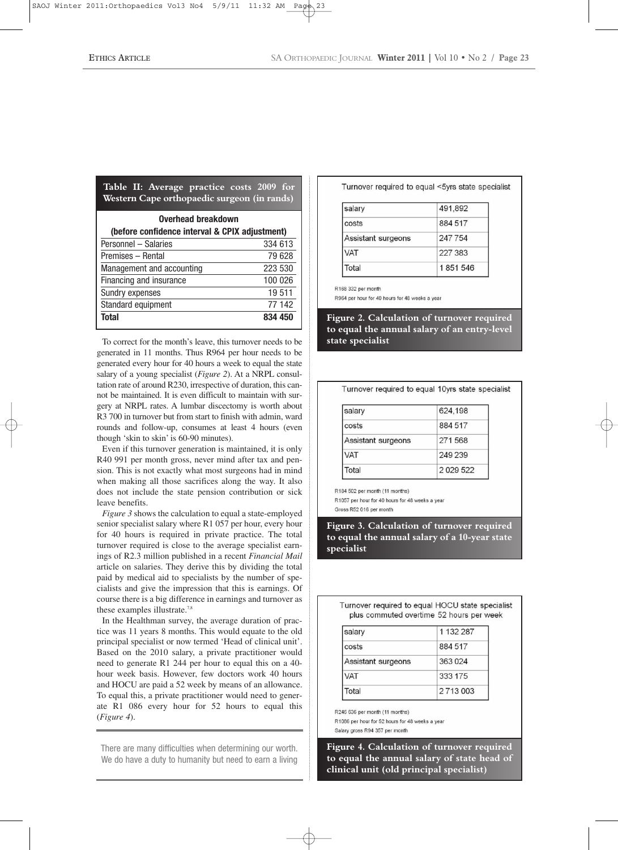| Overhead breakdown<br>(before confidence interval & CPIX adjustment) |         |
|----------------------------------------------------------------------|---------|
| Personnel - Salaries                                                 | 334 613 |
| Premises - Rental                                                    | 79 628  |
| Management and accounting                                            | 223 530 |
| Financing and insurance                                              | 100 026 |
| Sundry expenses                                                      | 19511   |
| Standard equipment                                                   | 77 142  |
| Total                                                                | 834 450 |

**Table II: Average practice costs 2009 for Western Cape orthopaedic surgeon (in rands)**

To correct for the month's leave, this turnover needs to be generated in 11 months. Thus R964 per hour needs to be generated every hour for 40 hours a week to equal the state salary of a young specialist (*Figure 2*). At a NRPL consultation rate of around R230, irrespective of duration, this cannot be maintained. It is even difficult to maintain with surgery at NRPL rates. A lumbar discectomy is worth about R3 700 in turnover but from start to finish with admin, ward rounds and follow-up, consumes at least 4 hours (even though 'skin to skin' is 60-90 minutes).

Even if this turnover generation is maintained, it is only R40 991 per month gross, never mind after tax and pension. This is not exactly what most surgeons had in mind when making all those sacrifices along the way. It also does not include the state pension contribution or sick leave benefits.

*Figure 3* shows the calculation to equal a state-employed senior specialist salary where R1 057 per hour, every hour for 40 hours is required in private practice. The total turnover required is close to the average specialist earnings of R2.3 million published in a recent *Financial Mail* article on salaries. They derive this by dividing the total paid by medical aid to specialists by the number of specialists and give the impression that this is earnings. Of course there is a big difference in earnings and turnover as these examples illustrate.<sup>7,8</sup>

In the Healthman survey, the average duration of practice was 11 years 8 months. This would equate to the old principal specialist or now termed 'Head of clinical unit'. Based on the 2010 salary, a private practitioner would need to generate R1 244 per hour to equal this on a 40 hour week basis. However, few doctors work 40 hours and HOCU are paid a 52 week by means of an allowance. To equal this, a private practitioner would need to generate R1 086 every hour for 52 hours to equal this (*Figure 4*).

There are many difficulties when determining our worth. We do have a duty to humanity but need to earn a living Turnover required to equal <5yrs state specialist

| salary             | 491,892 |
|--------------------|---------|
| costs              | 884 517 |
| Assistant surgeons | 247 754 |
| VAT                | 227 383 |
| Total              | 1851546 |

R168 332 per month

R964 per hour for 40 hours for 48 weeks a year

Figure 2. Calculation of turnover required **to equal the annual salary of an entry-level state specialist**

Turnover required to equal 10vrs state specialist

| 624,198 |
|---------|
| 884 517 |
| 271568  |
| 249 239 |
| 2029522 |
|         |

R184 502 per month (11 months)

R1057 per hour for 40 hours for 48 weeks a year Gross R52 016 per month

**Figure 3. Calculation of turnover required to equal the annual salary of a 10-year state specialist**

Turnover required to equal HOCU state specialist plus commuted overtime 52 hours per week

| salary             | 1 132 287 |
|--------------------|-----------|
| costs              | 884 517   |
| Assistant surgeons | 363 024   |
| VAT                | 333 175   |
| Total              | 2713003   |

R246 636 per month (11 months)

R1086 per hour for 52 hours for 48 weeks a year Salary gross R94 357 per month

**Figure 4. Calculation of turnover required to equal the annual salary of state head of clinical unit (old principal specialist)**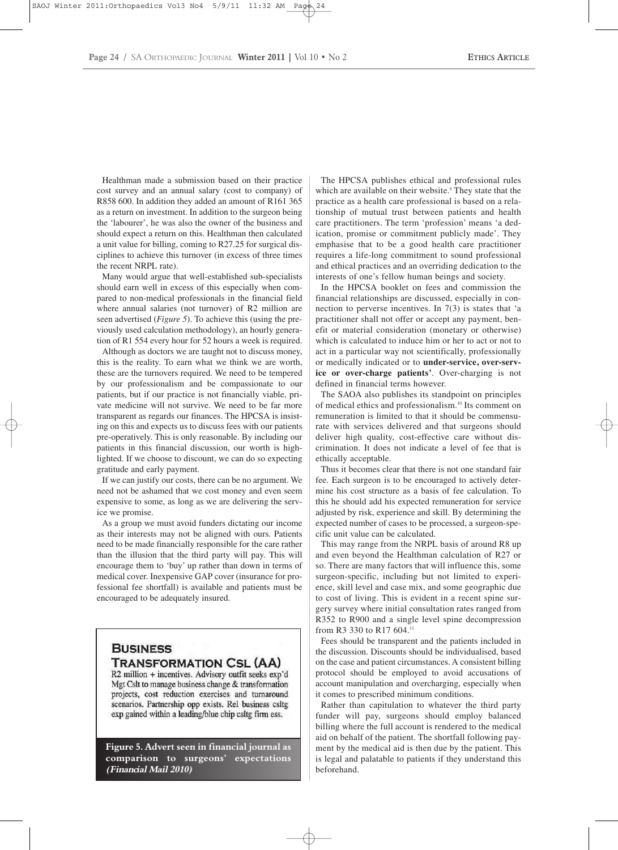Healthman made a submission based on their practice cost survey and an annual salary (cost to company) of R858 600. In addition they added an amount of R161 365 as a return on investment. In addition to the surgeon being the 'labourer', he was also the owner of the business and should expect a return on this. Healthman then calculated a unit value for billing, coming to R27.25 for surgical disciplines to achieve this turnover (in excess of three times the recent NRPL rate).

Many would argue that well-established sub-specialists should earn well in excess of this especially when compared to non-medical professionals in the financial field where annual salaries (not turnover) of R2 million are seen advertised (*Figure 5*). To achieve this (using the previously used calculation methodology), an hourly generation of R1 554 every hour for 52 hours a week is required.

Although as doctors we are taught not to discuss money, this is the reality. To earn what we think we are worth, these are the turnovers required. We need to be tempered by our professionalism and be compassionate to our patients, but if our practice is not financially viable, private medicine will not survive. We need to be far more transparent as regards our finances. The HPCSA is insisting on this and expects us to discuss fees with our patients pre-operatively. This is only reasonable. By including our patients in this financial discussion, our worth is highlighted. If we choose to discount, we can do so expecting gratitude and early payment.

If we can justify our costs, there can be no argument. We need not be ashamed that we cost money and even seem expensive to some, as long as we are delivering the service we promise.

As a group we must avoid funders dictating our income as their interests may not be aligned with ours. Patients need to be made financially responsible for the care rather than the illusion that the third party will pay. This will encourage them to 'buy' up rather than down in terms of medical cover. Inexpensive GAP cover (insurance for professional fee shortfall) is available and patients must be encouraged to be adequately insured.

## **BUSINESS TRANSFORMATION CSL (AA)**

R2 million + incentives. Advisory outfit seeks exp'd Mgt Cslt to manage business change & transformation projects, cost reduction exercises and turnaround scenarios. Partnership opp exists. Rel business csltg exp gained within a leading/blue chip csltg firm ess.

**Figure 5. Advert seen in financial journal as comparison to surgeons' expectations (Financial Mail 2010)**

The HPCSA publishes ethical and professional rules which are available on their website.<sup>9</sup> They state that the practice as a health care professional is based on a relationship of mutual trust between patients and health care practitioners. The term 'profession' means 'a dedication, promise or commitment publicly made'. They emphasise that to be a good health care practitioner requires a life-long commitment to sound professional and ethical practices and an overriding dedication to the interests of one's fellow human beings and society.

In the HPCSA booklet on fees and commission the financial relationships are discussed, especially in connection to perverse incentives. In 7(3) is states that 'a practitioner shall not offer or accept any payment, benefit or material consideration (monetary or otherwise) which is calculated to induce him or her to act or not to act in a particular way not scientifically, professionally or medically indicated or to **under-service, over-service or over-charge patients'**. Over-charging is not defined in financial terms however.

The SAOA also publishes its standpoint on principles of medical ethics and professionalism.10 Its comment on remuneration is limited to that it should be commensurate with services delivered and that surgeons should deliver high quality, cost-effective care without discrimination. It does not indicate a level of fee that is ethically acceptable.

Thus it becomes clear that there is not one standard fair fee. Each surgeon is to be encouraged to actively determine his cost structure as a basis of fee calculation. To this he should add his expected remuneration for service adjusted by risk, experience and skill. By determining the expected number of cases to be processed, a surgeon-specific unit value can be calculated.

This may range from the NRPL basis of around R8 up and even beyond the Healthman calculation of R27 or so. There are many factors that will influence this, some surgeon-specific, including but not limited to experience, skill level and case mix, and some geographic due to cost of living. This is evident in a recent spine surgery survey where initial consultation rates ranged from R352 to R900 and a single level spine decompression from R3 330 to R17 604.11

Fees should be transparent and the patients included in the discussion. Discounts should be individualised, based on the case and patient circumstances. A consistent billing protocol should be employed to avoid accusations of account manipulation and overcharging, especially when it comes to prescribed minimum conditions.

Rather than capitulation to whatever the third party funder will pay, surgeons should employ balanced billing where the full account is rendered to the medical aid on behalf of the patient. The shortfall following payment by the medical aid is then due by the patient. This is legal and palatable to patients if they understand this beforehand.